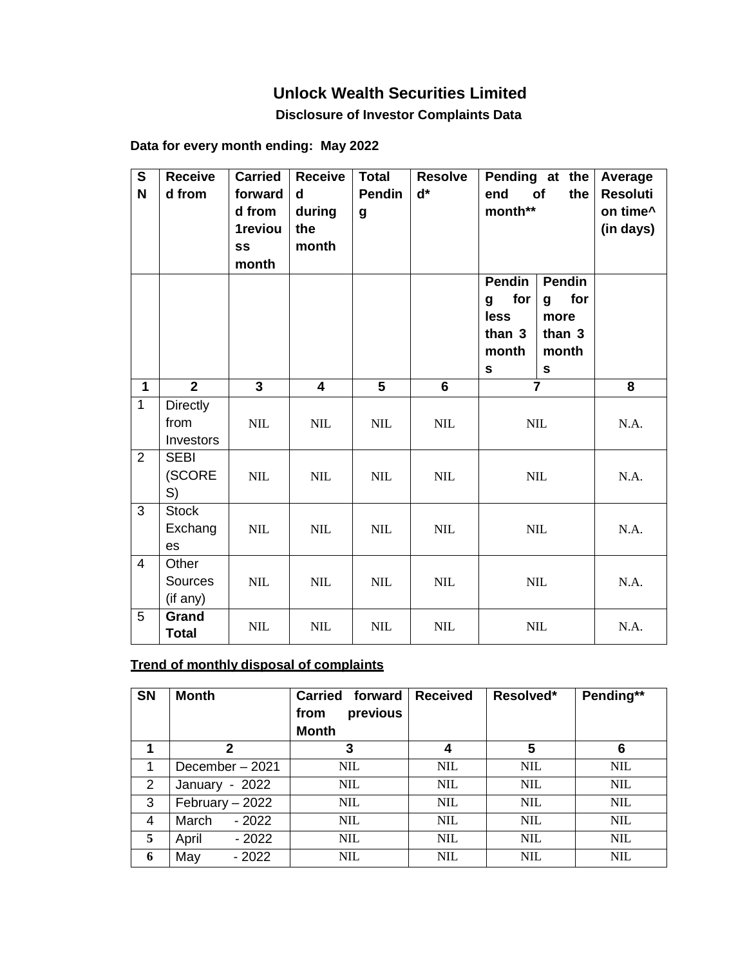## **Unlock Wealth Securities Limited**

 **Disclosure of Investor Complaints Data** 

| Data for every month ending: May 2022 |  |
|---------------------------------------|--|
|---------------------------------------|--|

| $\overline{\mathbf{s}}$<br>N | <b>Receive</b><br>d from      | <b>Carried</b><br>forward<br>d from<br>1reviou<br>SS<br>month | <b>Receive</b><br>$\mathbf d$<br>during<br>the<br>month | <b>Total</b><br><b>Pendin</b><br>g | <b>Resolve</b><br>$d^*$ | Pending at the<br>end<br>of<br>the<br>month**                     |                                                                     | Average<br><b>Resoluti</b><br>on time^<br>(in days) |
|------------------------------|-------------------------------|---------------------------------------------------------------|---------------------------------------------------------|------------------------------------|-------------------------|-------------------------------------------------------------------|---------------------------------------------------------------------|-----------------------------------------------------|
|                              |                               |                                                               |                                                         |                                    |                         | <b>Pendin</b><br>for<br>g<br>less<br>than 3<br>month<br>${\bf s}$ | <b>Pendin</b><br>for<br>g<br>more<br>than 3<br>month<br>$\mathbf s$ |                                                     |
| $\mathbf{1}$                 | $\overline{2}$                | $\overline{3}$                                                | 4                                                       | $\overline{5}$                     | 6                       |                                                                   | $\overline{7}$                                                      | 8                                                   |
| $\mathbf{1}$                 | Directly<br>from<br>Investors | $\text{NIL}$                                                  | $\mbox{NIL}$                                            | <b>NIL</b>                         | $\mbox{NIL}$            | $\text{NIL}$                                                      |                                                                     | N.A.                                                |
| $\overline{2}$               | <b>SEBI</b><br>(SCORE<br>S)   | <b>NIL</b>                                                    | $\text{NIL}$                                            | <b>NIL</b>                         | <b>NIL</b>              | $\text{NIL}$                                                      |                                                                     | N.A.                                                |
| 3                            | <b>Stock</b><br>Exchang<br>es | NIL                                                           | $\text{NIL}$                                            | <b>NIL</b>                         | $\text{NIL}$            | $\text{NIL}$                                                      |                                                                     | N.A.                                                |
| $\overline{4}$               | Other<br>Sources<br>(if any)  | $\text{NIL}$                                                  | $\text{NIL}$                                            | <b>NIL</b>                         | $\text{NIL}$            | <b>NIL</b>                                                        |                                                                     | N.A.                                                |
| 5                            | Grand<br><b>Total</b>         | NIL                                                           | $\text{NIL}$                                            | $\text{NIL}$                       | $\text{NIL}$            |                                                                   | $\text{NIL}$                                                        | N.A.                                                |

## **Trend of monthly disposal of complaints**

| <b>SN</b> | <b>Month</b>     | Carried forward<br>previous<br>from<br><b>Month</b> | <b>Received</b> | Resolved*  | Pending**  |
|-----------|------------------|-----------------------------------------------------|-----------------|------------|------------|
| 1         | $\mathbf{2}$     | 3                                                   | 4               | 5          | 6          |
| 1         | December - 2021  | <b>NIL</b>                                          | <b>NIL</b>      | <b>NIL</b> | <b>NIL</b> |
| 2         | January - 2022   | <b>NIL</b>                                          | <b>NIL</b>      | <b>NIL</b> | <b>NIL</b> |
| 3         | February - 2022  | <b>NIL</b>                                          | NIL.            | NIL.       | <b>NIL</b> |
| 4         | March<br>$-2022$ | <b>NIL</b>                                          | <b>NIL</b>      | <b>NIL</b> | <b>NIL</b> |
| 5         | April<br>- 2022  | <b>NIL</b>                                          | <b>NIL</b>      | <b>NIL</b> | <b>NIL</b> |
| 6         | May<br>$-2022$   | <b>NIL</b>                                          | <b>NIL</b>      | <b>NIL</b> | <b>NIL</b> |